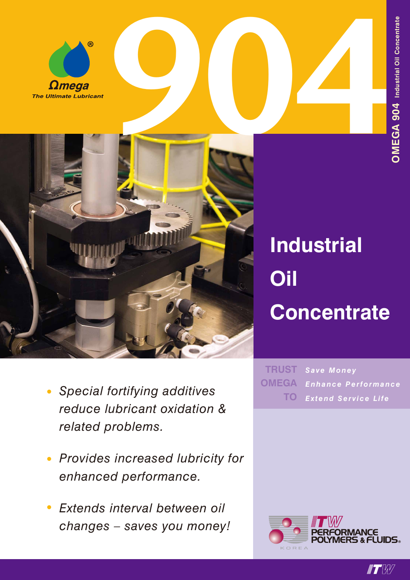



### *• Special fortifying additives reduce lubricant oxidation & related problems.*

- *• Provides increased lubricity for enhanced performance.*
- *• Extends interval between oil changes – saves you money!*

# **Industrial Oil Concentrate**

*Save Money Enhance Performance Extend Service Life* **TRUST OMEGA TO**



 $\blacksquare T$   $\mathbb{W}$